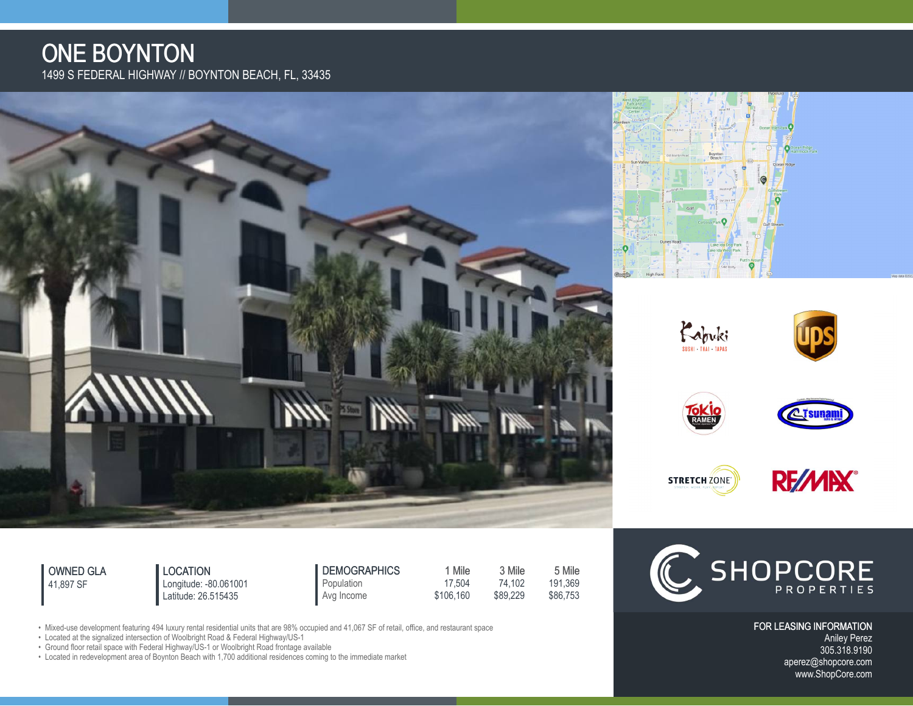## ONE BOYNTON 1499 S FEDERAL HIGHWAY // BOYNTON BEACH, FL, 33435



OWNED GLA 41,897 SF

LOCATION Latitude: 26.515435

Longitude: -80.061001

**DEMOGRAPHICS** 1 Mile 3 Mile 5 Mile<br>Population 17,504 74,102 191,369 Population 17,504 74,102 191,369<br>Avg Income \$106,160 \$89,229 \$86,753 Avg Income \$106,160



FOR LEASING INFORMATION Aniley Perez 305.318.9190 [aperez@shopcore.com](mailto:aperez@shopcore.com?Subject=ONE%20BOYNTON) www.ShopCore.com

• Mixed-use development featuring 494 luxury rental residential units that are 98% occupied and 41,067 SF of retail, office, and restaurant space

• Located at the signalized intersection of Woolbright Road & Federal Highway/US-1

• Ground floor retail space with Federal Highway/US-1 or Woolbright Road frontage available

• Located in redevelopment area of Boynton Beach with 1,700 additional residences coming to the immediate market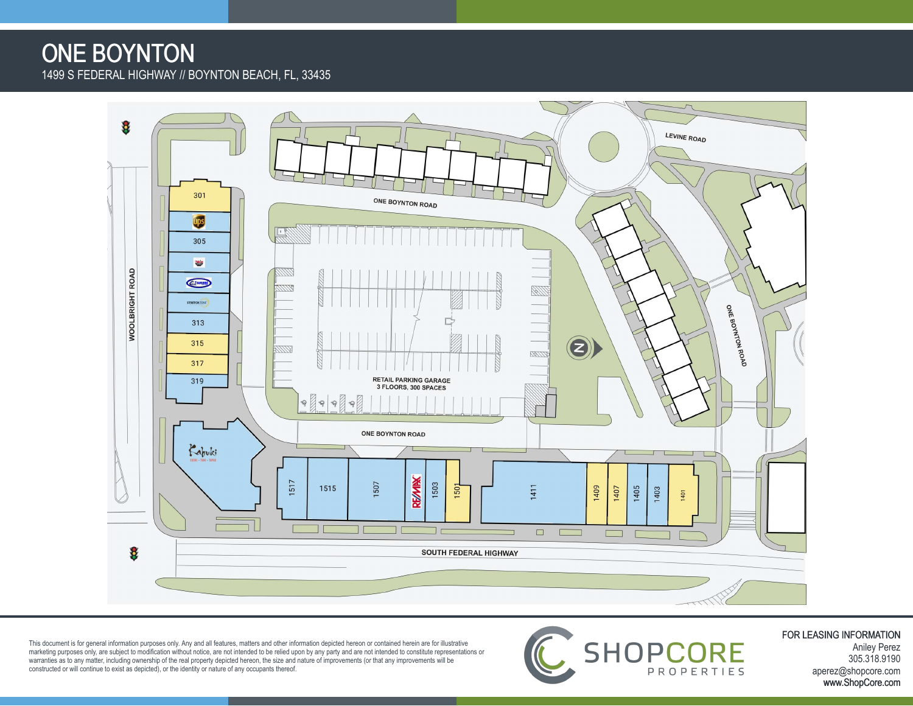## ONE BOYNTON 1499 S FEDERAL HIGHWAY // BOYNTON BEACH, FL, 33435



This document is for general information purposes only. Any and all features, matters and other information depicted hereon or contained herein are for illustrative<br>marketing purposes only, are subject to modification with



FOR LEASING INFORMATION Aniley Perez 305.318.9190 [aperez@shopcore.com](mailto:aperez@shopcore.com?Subject=ONE%20BOYNTON) www.ShopCore.com